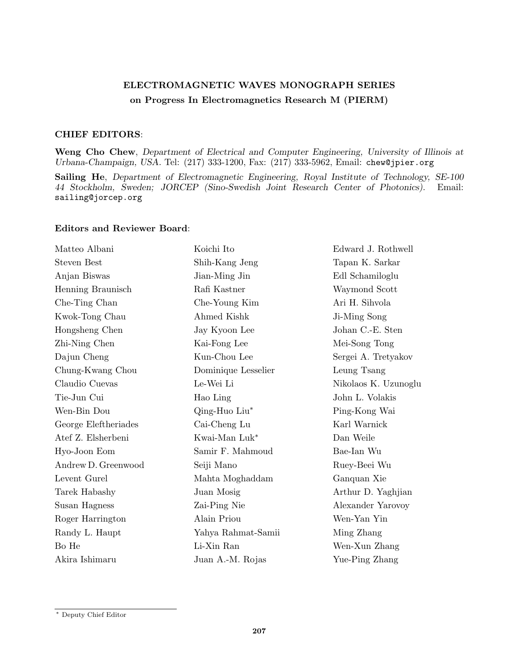## **ELECTROMAGNETIC WAVES MONOGRAPH SERIES on Progress In Electromagnetics Research M (PIERM)**

## **CHIEF EDITORS**:

**Weng Cho Chew**, *Department of Electrical and Computer Engineering, University of Illinois at Urbana-Champaign, USA.* Tel: (217) 333-1200, Fax: (217) 333-5962, Email: chew@jpier.org

**Sailing He**, *Department of Electromagnetic Engineering, Royal Institute of Technology, SE-100 44 Stockholm, Sweden; JORCEP (Sino-Swedish Joint Research Center of Photonics).* Email: sailing@jorcep.org

## **Editors and Reviewer Board**:

| Matteo Albani        | Koichi Ito          | Edward J. Rothwell   |
|----------------------|---------------------|----------------------|
| <b>Steven Best</b>   | Shih-Kang Jeng      | Tapan K. Sarkar      |
| Anjan Biswas         | Jian-Ming Jin       | Edl Schamiloglu      |
| Henning Braunisch    | Rafi Kastner        | Waymond Scott        |
| Che-Ting Chan        | Che-Young Kim       | Ari H. Sihvola       |
| Kwok-Tong Chau       | Ahmed Kishk         | Ji-Ming Song         |
| Hongsheng Chen       | Jay Kyoon Lee       | Johan C.-E. Sten     |
| Zhi-Ning Chen        | Kai-Fong Lee        | Mei-Song Tong        |
| Dajun Cheng          | Kun-Chou Lee        | Sergei A. Tretyakov  |
| Chung-Kwang Chou     | Dominique Lesselier | Leung Tsang          |
| Claudio Cuevas       | Le-Wei Li           | Nikolaos K. Uzunoglu |
| Tie-Jun Cui          | Hao Ling            | John L. Volakis      |
| Wen-Bin Dou          | Qing-Huo Liu*       | Ping-Kong Wai        |
| George Eleftheriades | Cai-Cheng Lu        | Karl Warnick         |
| Atef Z. Elsherbeni   | Kwai-Man Luk*       | Dan Weile            |
| Hyo-Joon Eom         | Samir F. Mahmoud    | Bae-Ian Wu           |
| Andrew D. Greenwood  | Seiji Mano          | Ruey-Beei Wu         |
| Levent Gurel         | Mahta Moghaddam     | Ganquan Xie          |
| Tarek Habashy        | Juan Mosig          | Arthur D. Yaghjian   |
| Susan Hagness        | Zai-Ping Nie        | Alexander Yarovoy    |
| Roger Harrington     | Alain Priou         | Wen-Yan Yin          |
| Randy L. Haupt       | Yahya Rahmat-Samii  | Ming Zhang           |
| Bo He                | Li-Xin Ran          | Wen-Xun Zhang        |
| Akira Ishimaru       | Juan A.-M. Rojas    | Yue-Ping Zhang       |

*<sup>∗</sup>* Deputy Chief Editor